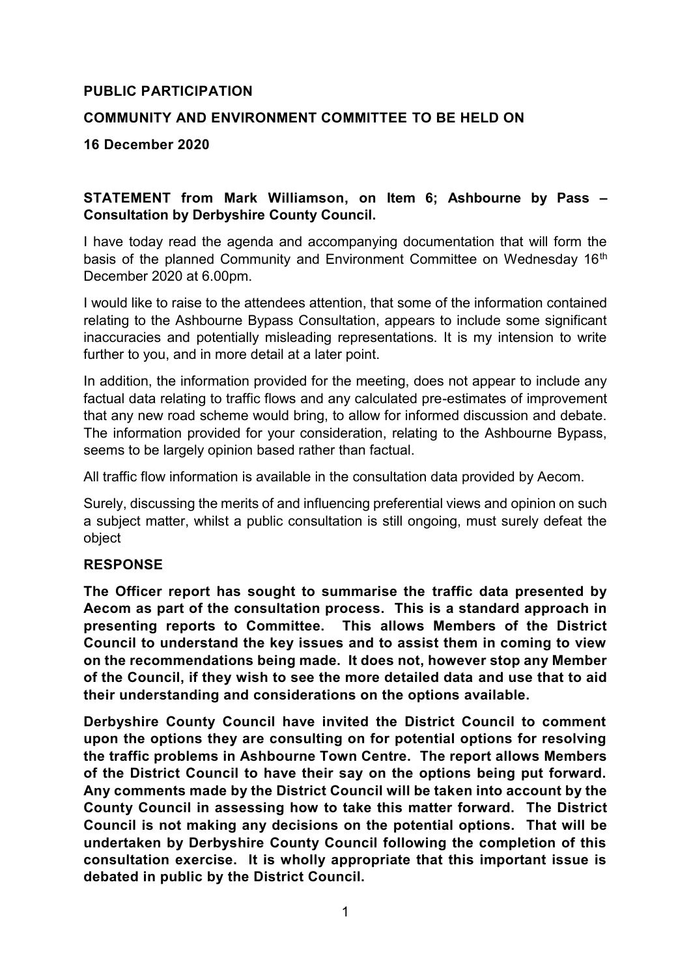## **PUBLIC PARTICIPATION**

# **COMMUNITY AND ENVIRONMENT COMMITTEE TO BE HELD ON**

**16 December 2020**

# **STATEMENT from Mark Williamson, on Item 6; Ashbourne by Pass – Consultation by Derbyshire County Council.**

I have today read the agenda and accompanying documentation that will form the basis of the planned Community and Environment Committee on Wednesday 16<sup>th</sup> December 2020 at 6.00pm.

I would like to raise to the attendees attention, that some of the information contained relating to the Ashbourne Bypass Consultation, appears to include some significant inaccuracies and potentially misleading representations. It is my intension to write further to you, and in more detail at a later point.

In addition, the information provided for the meeting, does not appear to include any factual data relating to traffic flows and any calculated pre-estimates of improvement that any new road scheme would bring, to allow for informed discussion and debate. The information provided for your consideration, relating to the Ashbourne Bypass, seems to be largely opinion based rather than factual.

All traffic flow information is available in the consultation data provided by Aecom.

Surely, discussing the merits of and influencing preferential views and opinion on such a subject matter, whilst a public consultation is still ongoing, must surely defeat the object

#### **RESPONSE**

**The Officer report has sought to summarise the traffic data presented by Aecom as part of the consultation process. This is a standard approach in presenting reports to Committee. This allows Members of the District Council to understand the key issues and to assist them in coming to view on the recommendations being made. It does not, however stop any Member of the Council, if they wish to see the more detailed data and use that to aid their understanding and considerations on the options available.**

**Derbyshire County Council have invited the District Council to comment upon the options they are consulting on for potential options for resolving the traffic problems in Ashbourne Town Centre. The report allows Members of the District Council to have their say on the options being put forward. Any comments made by the District Council will be taken into account by the County Council in assessing how to take this matter forward. The District Council is not making any decisions on the potential options. That will be undertaken by Derbyshire County Council following the completion of this consultation exercise. It is wholly appropriate that this important issue is debated in public by the District Council.**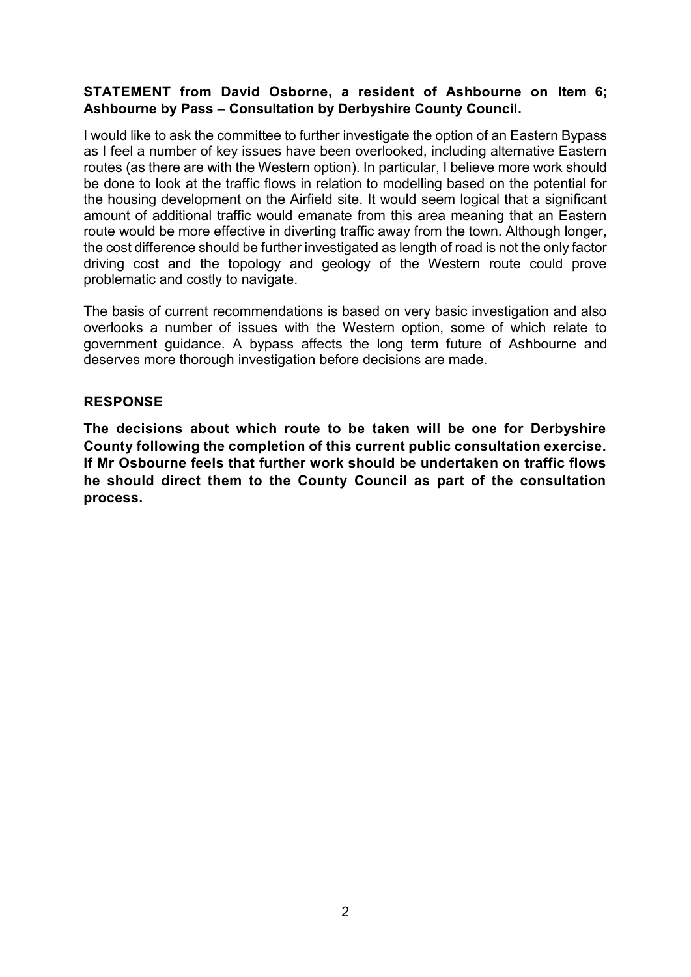# **STATEMENT from David Osborne, a resident of Ashbourne on Item 6; Ashbourne by Pass – Consultation by Derbyshire County Council.**

I would like to ask the committee to further investigate the option of an Eastern Bypass as I feel a number of key issues have been overlooked, including alternative Eastern routes (as there are with the Western option). In particular, I believe more work should be done to look at the traffic flows in relation to modelling based on the potential for the housing development on the Airfield site. It would seem logical that a significant amount of additional traffic would emanate from this area meaning that an Eastern route would be more effective in diverting traffic away from the town. Although longer, the cost difference should be further investigated as length of road is not the only factor driving cost and the topology and geology of the Western route could prove problematic and costly to navigate.

The basis of current recommendations is based on very basic investigation and also overlooks a number of issues with the Western option, some of which relate to government guidance. A bypass affects the long term future of Ashbourne and deserves more thorough investigation before decisions are made.

#### **RESPONSE**

**The decisions about which route to be taken will be one for Derbyshire County following the completion of this current public consultation exercise. If Mr Osbourne feels that further work should be undertaken on traffic flows he should direct them to the County Council as part of the consultation process.**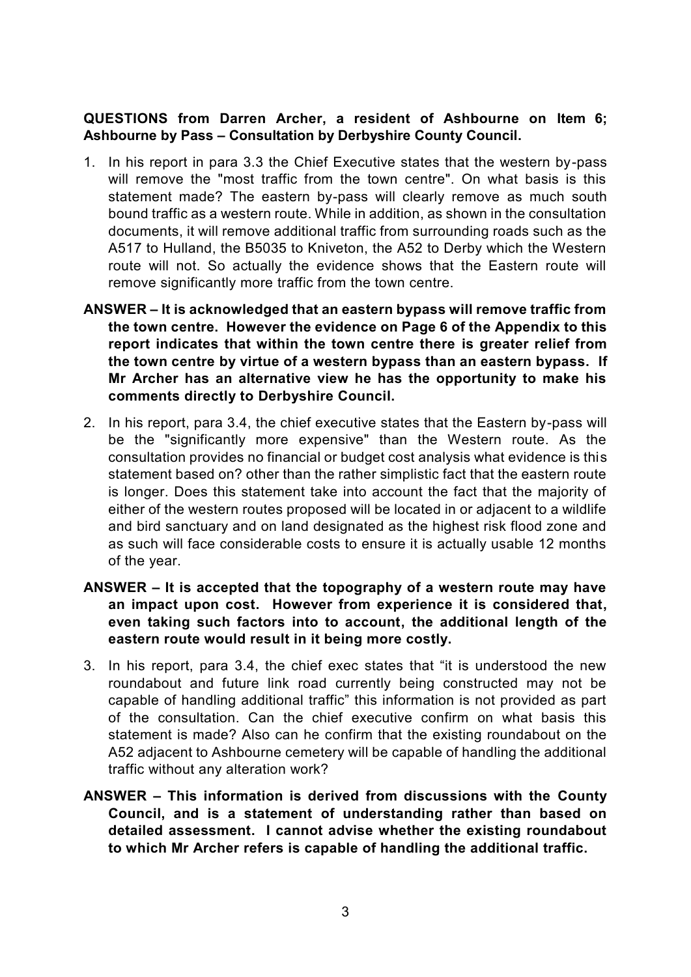## **QUESTIONS from Darren Archer, a resident of Ashbourne on Item 6; Ashbourne by Pass – Consultation by Derbyshire County Council.**

- 1. In his report in para 3.3 the Chief Executive states that the western by-pass will remove the "most traffic from the town centre". On what basis is this statement made? The eastern by-pass will clearly remove as much south bound traffic as a western route. While in addition, as shown in the consultation documents, it will remove additional traffic from surrounding roads such as the A517 to Hulland, the B5035 to Kniveton, the A52 to Derby which the Western route will not. So actually the evidence shows that the Eastern route will remove significantly more traffic from the town centre.
- **ANSWER – It is acknowledged that an eastern bypass will remove traffic from the town centre. However the evidence on Page 6 of the Appendix to this report indicates that within the town centre there is greater relief from the town centre by virtue of a western bypass than an eastern bypass. If Mr Archer has an alternative view he has the opportunity to make his comments directly to Derbyshire Council.**
- 2. In his report, para 3.4, the chief executive states that the Eastern by-pass will be the "significantly more expensive" than the Western route. As the consultation provides no financial or budget cost analysis what evidence is this statement based on? other than the rather simplistic fact that the eastern route is longer. Does this statement take into account the fact that the majority of either of the western routes proposed will be located in or adjacent to a wildlife and bird sanctuary and on land designated as the highest risk flood zone and as such will face considerable costs to ensure it is actually usable 12 months of the year.
- **ANSWER – It is accepted that the topography of a western route may have an impact upon cost. However from experience it is considered that, even taking such factors into to account, the additional length of the eastern route would result in it being more costly.**
- 3. In his report, para 3.4, the chief exec states that "it is understood the new roundabout and future link road currently being constructed may not be capable of handling additional traffic" this information is not provided as part of the consultation. Can the chief executive confirm on what basis this statement is made? Also can he confirm that the existing roundabout on the A52 adjacent to Ashbourne cemetery will be capable of handling the additional traffic without any alteration work?
- **ANSWER – This information is derived from discussions with the County Council, and is a statement of understanding rather than based on detailed assessment. I cannot advise whether the existing roundabout to which Mr Archer refers is capable of handling the additional traffic.**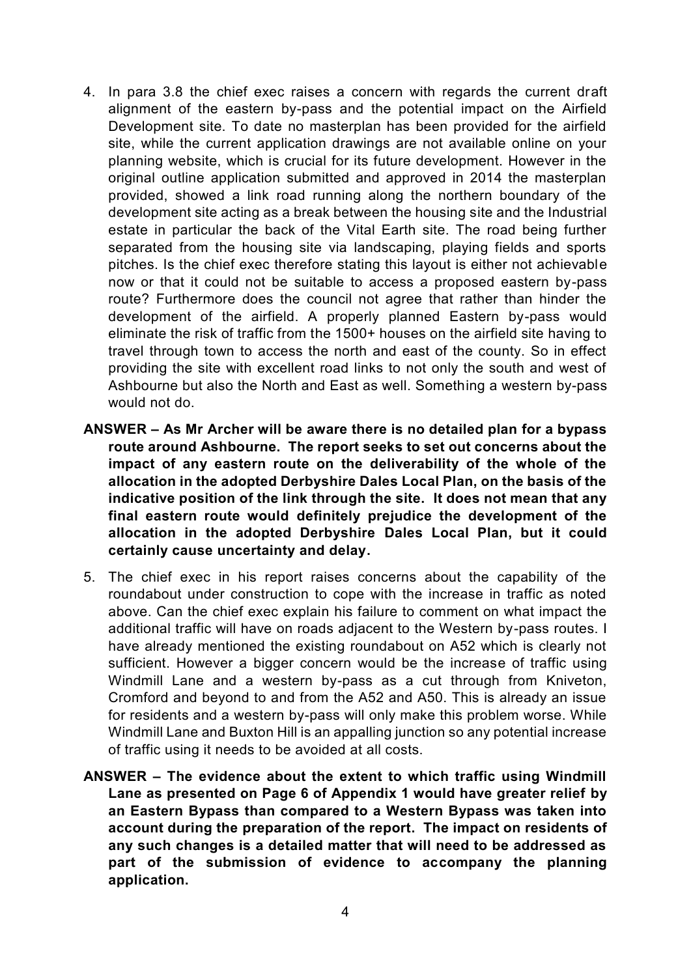- 4. In para 3.8 the chief exec raises a concern with regards the current draft alignment of the eastern by-pass and the potential impact on the Airfield Development site. To date no masterplan has been provided for the airfield site, while the current application drawings are not available online on your planning website, which is crucial for its future development. However in the original outline application submitted and approved in 2014 the masterplan provided, showed a link road running along the northern boundary of the development site acting as a break between the housing site and the Industrial estate in particular the back of the Vital Earth site. The road being further separated from the housing site via landscaping, playing fields and sports pitches. Is the chief exec therefore stating this layout is either not achievable now or that it could not be suitable to access a proposed eastern by-pass route? Furthermore does the council not agree that rather than hinder the development of the airfield. A properly planned Eastern by-pass would eliminate the risk of traffic from the 1500+ houses on the airfield site having to travel through town to access the north and east of the county. So in effect providing the site with excellent road links to not only the south and west of Ashbourne but also the North and East as well. Something a western by-pass would not do.
- **ANSWER – As Mr Archer will be aware there is no detailed plan for a bypass route around Ashbourne. The report seeks to set out concerns about the impact of any eastern route on the deliverability of the whole of the allocation in the adopted Derbyshire Dales Local Plan, on the basis of the indicative position of the link through the site. It does not mean that any final eastern route would definitely prejudice the development of the allocation in the adopted Derbyshire Dales Local Plan, but it could certainly cause uncertainty and delay.**
- 5. The chief exec in his report raises concerns about the capability of the roundabout under construction to cope with the increase in traffic as noted above. Can the chief exec explain his failure to comment on what impact the additional traffic will have on roads adjacent to the Western by-pass routes. I have already mentioned the existing roundabout on A52 which is clearly not sufficient. However a bigger concern would be the increase of traffic using Windmill Lane and a western by-pass as a cut through from Kniveton, Cromford and beyond to and from the A52 and A50. This is already an issue for residents and a western by-pass will only make this problem worse. While Windmill Lane and Buxton Hill is an appalling junction so any potential increase of traffic using it needs to be avoided at all costs.
- **ANSWER – The evidence about the extent to which traffic using Windmill Lane as presented on Page 6 of Appendix 1 would have greater relief by an Eastern Bypass than compared to a Western Bypass was taken into account during the preparation of the report. The impact on residents of any such changes is a detailed matter that will need to be addressed as part of the submission of evidence to accompany the planning application.**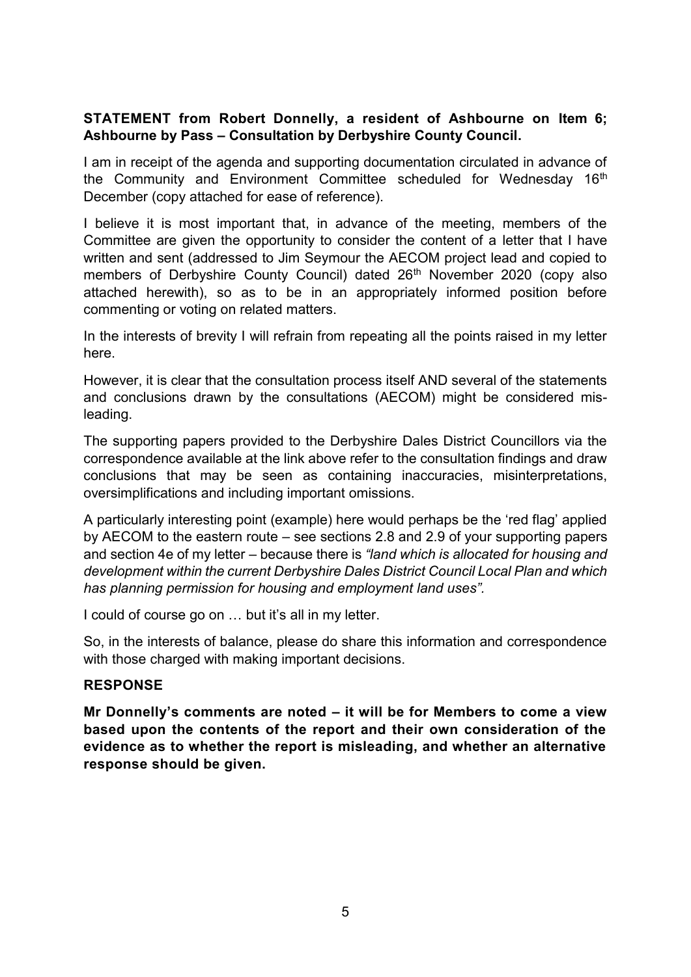### **STATEMENT from Robert Donnelly, a resident of Ashbourne on Item 6; Ashbourne by Pass – Consultation by Derbyshire County Council.**

I am in receipt of the agenda and supporting documentation circulated in advance of the Community and Environment Committee scheduled for Wednesday 16<sup>th</sup> December (copy attached for ease of reference).

I believe it is most important that, in advance of the meeting, members of the Committee are given the opportunity to consider the content of a letter that I have written and sent (addressed to Jim Seymour the AECOM project lead and copied to members of Derbyshire County Council) dated 26<sup>th</sup> November 2020 (copy also attached herewith), so as to be in an appropriately informed position before commenting or voting on related matters.

In the interests of brevity I will refrain from repeating all the points raised in my letter here.

However, it is clear that the consultation process itself AND several of the statements and conclusions drawn by the consultations (AECOM) might be considered misleading.

The supporting papers provided to the Derbyshire Dales District Councillors via the correspondence available at the link above refer to the consultation findings and draw conclusions that may be seen as containing inaccuracies, misinterpretations, oversimplifications and including important omissions.

A particularly interesting point (example) here would perhaps be the 'red flag' applied by AECOM to the eastern route – see sections 2.8 and 2.9 of your supporting papers and section 4e of my letter – because there is *"land which is allocated for housing and development within the current Derbyshire Dales District Council Local Plan and which has planning permission for housing and employment land uses".*

I could of course go on … but it's all in my letter.

So, in the interests of balance, please do share this information and correspondence with those charged with making important decisions.

# **RESPONSE**

**Mr Donnelly's comments are noted – it will be for Members to come a view based upon the contents of the report and their own consideration of the evidence as to whether the report is misleading, and whether an alternative response should be given.**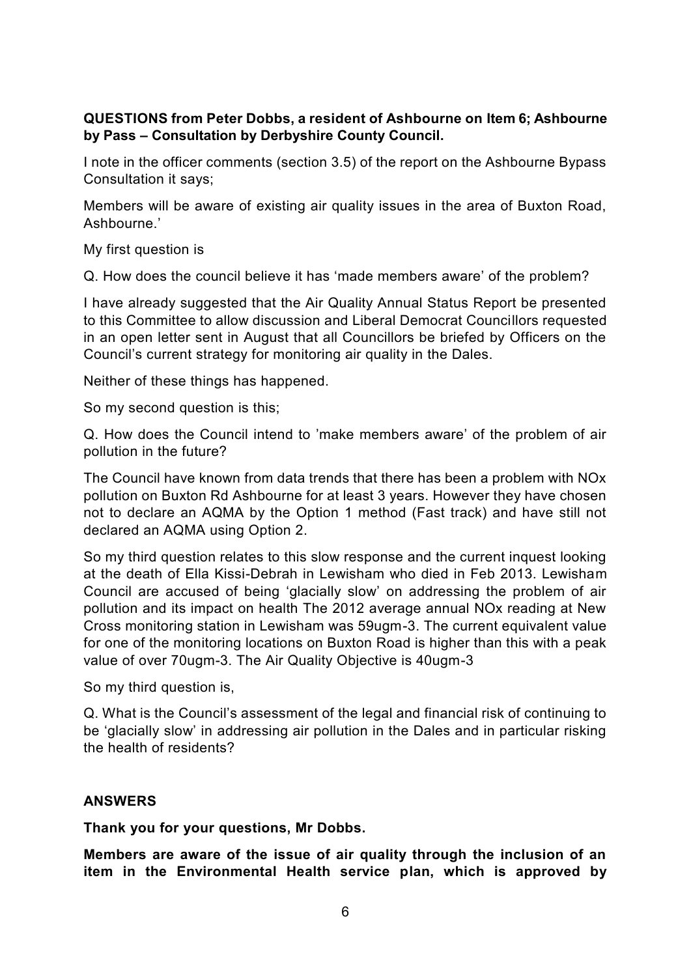## **QUESTIONS from Peter Dobbs, a resident of Ashbourne on Item 6; Ashbourne by Pass – Consultation by Derbyshire County Council.**

I note in the officer comments (section 3.5) of the report on the Ashbourne Bypass Consultation it says;

Members will be aware of existing air quality issues in the area of Buxton Road, Ashbourne.'

My first question is

Q. How does the council believe it has 'made members aware' of the problem?

I have already suggested that the Air Quality Annual Status Report be presented to this Committee to allow discussion and Liberal Democrat Councillors requested in an open letter sent in August that all Councillors be briefed by Officers on the Council's current strategy for monitoring air quality in the Dales.

Neither of these things has happened.

So my second question is this;

Q. How does the Council intend to 'make members aware' of the problem of air pollution in the future?

The Council have known from data trends that there has been a problem with NOx pollution on Buxton Rd Ashbourne for at least 3 years. However they have chosen not to declare an AQMA by the Option 1 method (Fast track) and have still not declared an AQMA using Option 2.

So my third question relates to this slow response and the current inquest looking at the death of Ella Kissi-Debrah in Lewisham who died in Feb 2013. Lewisham Council are accused of being 'glacially slow' on addressing the problem of air pollution and its impact on health The 2012 average annual NOx reading at New Cross monitoring station in Lewisham was 59ugm-3. The current equivalent value for one of the monitoring locations on Buxton Road is higher than this with a peak value of over 70ugm-3. The Air Quality Objective is 40ugm-3

So my third question is,

Q. What is the Council's assessment of the legal and financial risk of continuing to be 'glacially slow' in addressing air pollution in the Dales and in particular risking the health of residents?

# **ANSWERS**

**Thank you for your questions, Mr Dobbs.**

**Members are aware of the issue of air quality through the inclusion of an item in the Environmental Health service plan, which is approved by**